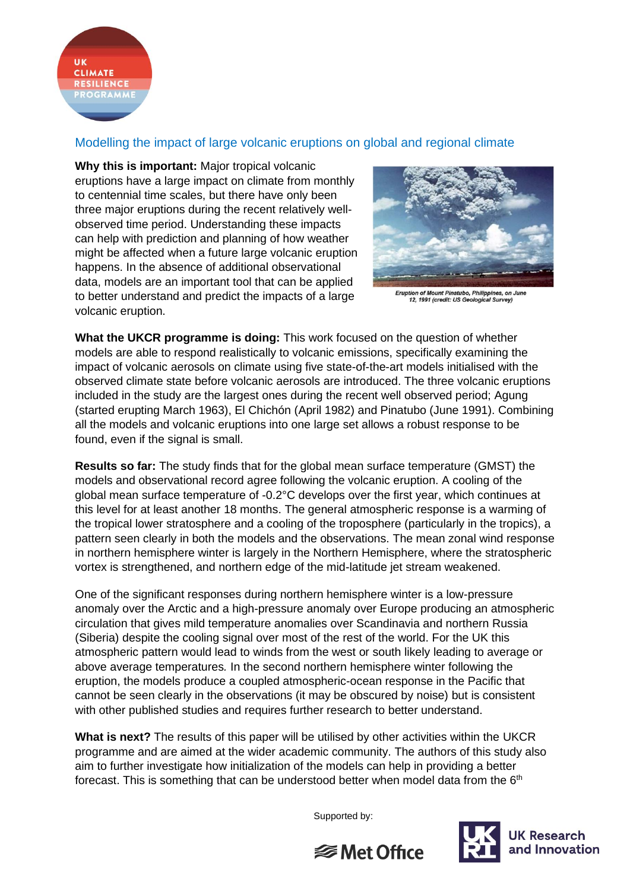

## Modelling the impact of large volcanic eruptions on global and regional climate

**Why this is important:** Major tropical volcanic eruptions have a large impact on climate from monthly to centennial time scales, but there have only been three major eruptions during the recent relatively wellobserved time period. Understanding these impacts can help with prediction and planning of how weather might be affected when a future large volcanic eruption happens. In the absence of additional observational data, models are an important tool that can be applied to better understand and predict the impacts of a large volcanic eruption.



Eruption of Mount Pinatubo, Philippines, on June<br>12, 1991 (credit: US Geological Survey)

**What the UKCR programme is doing:** This work focused on the question of whether models are able to respond realistically to volcanic emissions, specifically examining the impact of volcanic aerosols on climate using five state-of-the-art models initialised with the observed climate state before volcanic aerosols are introduced. The three volcanic eruptions included in the study are the largest ones during the recent well observed period; Agung (started erupting March 1963), El Chichón (April 1982) and Pinatubo (June 1991). Combining all the models and volcanic eruptions into one large set allows a robust response to be found, even if the signal is small.

**Results so far:** The study finds that for the global mean surface temperature (GMST) the models and observational record agree following the volcanic eruption. A cooling of the global mean surface temperature of -0.2°C develops over the first year, which continues at this level for at least another 18 months. The general atmospheric response is a warming of the tropical lower stratosphere and a cooling of the troposphere (particularly in the tropics), a pattern seen clearly in both the models and the observations. The mean zonal wind response in northern hemisphere winter is largely in the Northern Hemisphere, where the stratospheric vortex is strengthened, and northern edge of the mid-latitude jet stream weakened.

One of the significant responses during northern hemisphere winter is a low-pressure anomaly over the Arctic and a high-pressure anomaly over Europe producing an atmospheric circulation that gives mild temperature anomalies over Scandinavia and northern Russia (Siberia) despite the cooling signal over most of the rest of the world. For the UK this atmospheric pattern would lead to winds from the west or south likely leading to average or above average temperatures*.* In the second northern hemisphere winter following the eruption, the models produce a coupled atmospheric-ocean response in the Pacific that cannot be seen clearly in the observations (it may be obscured by noise) but is consistent with other published studies and requires further research to better understand.

**What is next?** The results of this paper will be utilised by other activities within the UKCR programme and are aimed at the wider academic community. The authors of this study also aim to further investigate how initialization of the models can help in providing a better forecast. This is something that can be understood better when model data from the  $6<sup>th</sup>$ 

Supported by: